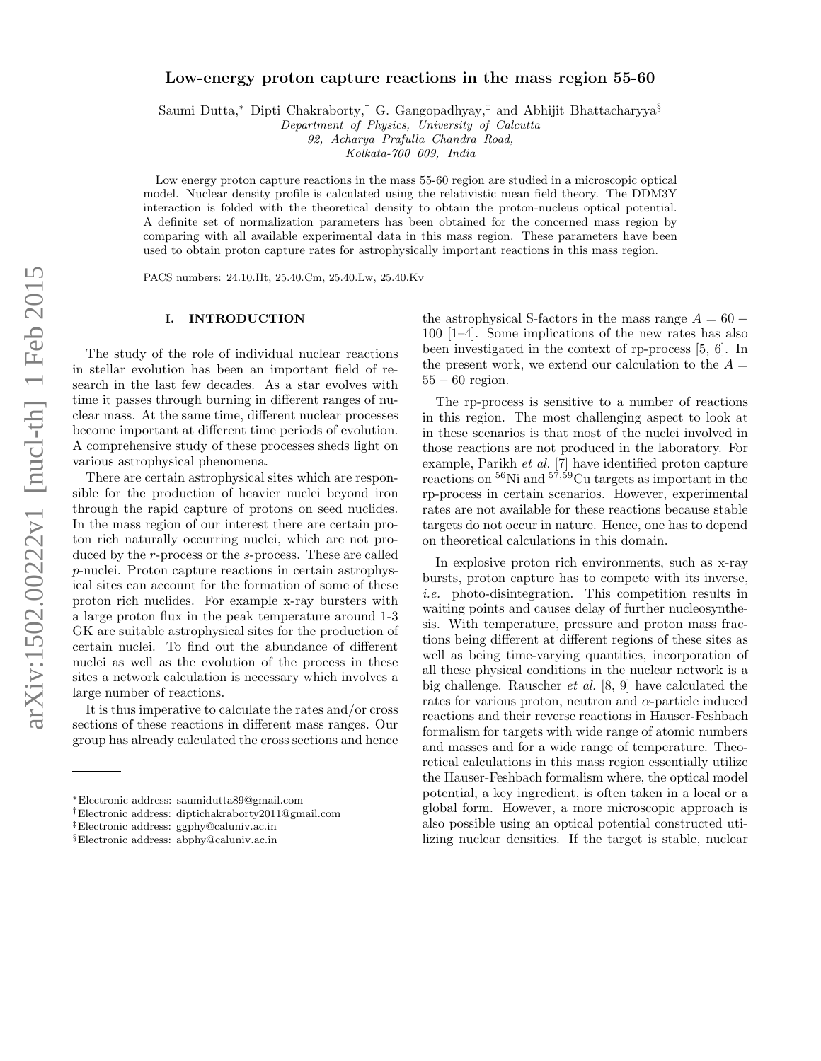# arXiv:1502.00222v1 [nucl-th] 1 Feb 2015 arXiv:1502.00222v1 [nucl-th] 1 Feb 2015

# Low-energy proton capture reactions in the mass region 55-60

Saumi Dutta,<sup>∗</sup> Dipti Chakraborty,† G. Gangopadhyay,‡ and Abhijit Bhattacharyya§

Department of Physics, University of Calcutta

92, Acharya Prafulla Chandra Road,

Kolkata-700 009, India

Low energy proton capture reactions in the mass 55-60 region are studied in a microscopic optical model. Nuclear density profile is calculated using the relativistic mean field theory. The DDM3Y interaction is folded with the theoretical density to obtain the proton-nucleus optical potential. A definite set of normalization parameters has been obtained for the concerned mass region by comparing with all available experimental data in this mass region. These parameters have been used to obtain proton capture rates for astrophysically important reactions in this mass region.

PACS numbers: 24.10.Ht, 25.40.Cm, 25.40.Lw, 25.40.Kv

### I. INTRODUCTION

The study of the role of individual nuclear reactions in stellar evolution has been an important field of research in the last few decades. As a star evolves with time it passes through burning in different ranges of nuclear mass. At the same time, different nuclear processes become important at different time periods of evolution. A comprehensive study of these processes sheds light on various astrophysical phenomena.

There are certain astrophysical sites which are responsible for the production of heavier nuclei beyond iron through the rapid capture of protons on seed nuclides. In the mass region of our interest there are certain proton rich naturally occurring nuclei, which are not produced by the *r*-process or the *s*-process. These are called p-nuclei. Proton capture reactions in certain astrophysical sites can account for the formation of some of these proton rich nuclides. For example x-ray bursters with a large proton flux in the peak temperature around 1-3 GK are suitable astrophysical sites for the production of certain nuclei. To find out the abundance of different nuclei as well as the evolution of the process in these sites a network calculation is necessary which involves a large number of reactions.

It is thus imperative to calculate the rates and/or cross sections of these reactions in different mass ranges. Our group has already calculated the cross sections and hence the astrophysical S-factors in the mass range  $A = 60 -$ 100 [1–4]. Some implications of the new rates has also been investigated in the context of rp-process [5, 6]. In the present work, we extend our calculation to the  $A =$ 55 − 60 region.

The rp-process is sensitive to a number of reactions in this region. The most challenging aspect to look at in these scenarios is that most of the nuclei involved in those reactions are not produced in the laboratory. For example, Parikh et al. [7] have identified proton capture reactions on  ${}^{56}$ Ni and  ${}^{57,59}$ Cu targets as important in the rp-process in certain scenarios. However, experimental rates are not available for these reactions because stable targets do not occur in nature. Hence, one has to depend on theoretical calculations in this domain.

In explosive proton rich environments, such as x-ray bursts, proton capture has to compete with its inverse, i.e. photo-disintegration. This competition results in waiting points and causes delay of further nucleosynthesis. With temperature, pressure and proton mass fractions being different at different regions of these sites as well as being time-varying quantities, incorporation of all these physical conditions in the nuclear network is a big challenge. Rauscher et al. [8, 9] have calculated the rates for various proton, neutron and  $\alpha$ -particle induced reactions and their reverse reactions in Hauser-Feshbach formalism for targets with wide range of atomic numbers and masses and for a wide range of temperature. Theoretical calculations in this mass region essentially utilize the Hauser-Feshbach formalism where, the optical model potential, a key ingredient, is often taken in a local or a global form. However, a more microscopic approach is also possible using an optical potential constructed utilizing nuclear densities. If the target is stable, nuclear

<sup>∗</sup>Electronic address: saumidutta89@gmail.com

<sup>†</sup>Electronic address: diptichakraborty2011@gmail.com

<sup>‡</sup>Electronic address: ggphy@caluniv.ac.in

<sup>§</sup>Electronic address: abphy@caluniv.ac.in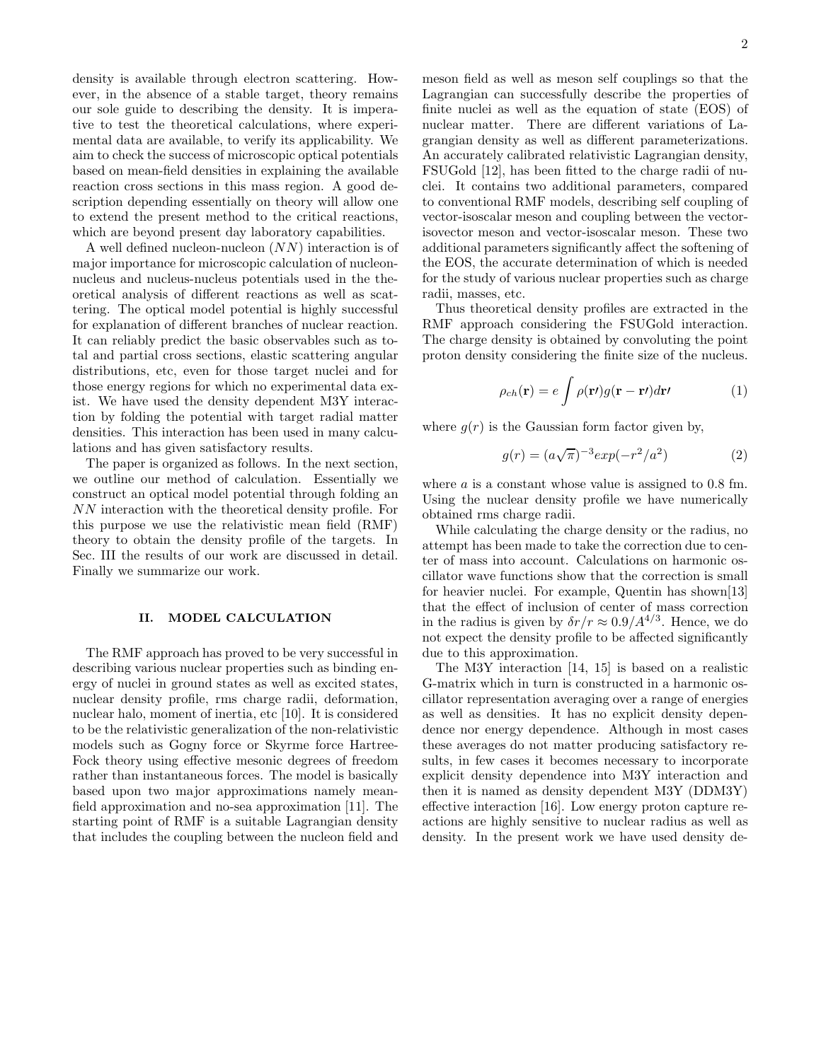density is available through electron scattering. However, in the absence of a stable target, theory remains our sole guide to describing the density. It is imperative to test the theoretical calculations, where experimental data are available, to verify its applicability. We aim to check the success of microscopic optical potentials based on mean-field densities in explaining the available reaction cross sections in this mass region. A good description depending essentially on theory will allow one to extend the present method to the critical reactions, which are beyond present day laboratory capabilities.

A well defined nucleon-nucleon (NN) interaction is of major importance for microscopic calculation of nucleonnucleus and nucleus-nucleus potentials used in the theoretical analysis of different reactions as well as scattering. The optical model potential is highly successful for explanation of different branches of nuclear reaction. It can reliably predict the basic observables such as total and partial cross sections, elastic scattering angular distributions, etc, even for those target nuclei and for those energy regions for which no experimental data exist. We have used the density dependent M3Y interaction by folding the potential with target radial matter densities. This interaction has been used in many calculations and has given satisfactory results.

The paper is organized as follows. In the next section, we outline our method of calculation. Essentially we construct an optical model potential through folding an NN interaction with the theoretical density profile. For this purpose we use the relativistic mean field (RMF) theory to obtain the density profile of the targets. In Sec. III the results of our work are discussed in detail. Finally we summarize our work.

# II. MODEL CALCULATION

The RMF approach has proved to be very successful in describing various nuclear properties such as binding energy of nuclei in ground states as well as excited states, nuclear density profile, rms charge radii, deformation, nuclear halo, moment of inertia, etc [10]. It is considered to be the relativistic generalization of the non-relativistic models such as Gogny force or Skyrme force Hartree-Fock theory using effective mesonic degrees of freedom rather than instantaneous forces. The model is basically based upon two major approximations namely meanfield approximation and no-sea approximation [11]. The starting point of RMF is a suitable Lagrangian density that includes the coupling between the nucleon field and meson field as well as meson self couplings so that the Lagrangian can successfully describe the properties of finite nuclei as well as the equation of state (EOS) of nuclear matter. There are different variations of Lagrangian density as well as different parameterizations. An accurately calibrated relativistic Lagrangian density, FSUGold [12], has been fitted to the charge radii of nuclei. It contains two additional parameters, compared to conventional RMF models, describing self coupling of vector-isoscalar meson and coupling between the vectorisovector meson and vector-isoscalar meson. These two additional parameters significantly affect the softening of the EOS, the accurate determination of which is needed for the study of various nuclear properties such as charge radii, masses, etc.

Thus theoretical density profiles are extracted in the RMF approach considering the FSUGold interaction. The charge density is obtained by convoluting the point proton density considering the finite size of the nucleus.

$$
\rho_{ch}(\mathbf{r}) = e \int \rho(\mathbf{r}) g(\mathbf{r} - \mathbf{r}) d\mathbf{r'}
$$
 (1)

where  $g(r)$  is the Gaussian form factor given by,

$$
g(r) = (a\sqrt{\pi})^{-3} exp(-r^2/a^2)
$$
 (2)

where  $a$  is a constant whose value is assigned to 0.8 fm. Using the nuclear density profile we have numerically obtained rms charge radii.

While calculating the charge density or the radius, no attempt has been made to take the correction due to center of mass into account. Calculations on harmonic oscillator wave functions show that the correction is small for heavier nuclei. For example, Quentin has shown[13] that the effect of inclusion of center of mass correction in the radius is given by  $\delta r/r \approx 0.9/A^{4/3}$ . Hence, we do not expect the density profile to be affected significantly due to this approximation.

The M3Y interaction [14, 15] is based on a realistic G-matrix which in turn is constructed in a harmonic oscillator representation averaging over a range of energies as well as densities. It has no explicit density dependence nor energy dependence. Although in most cases these averages do not matter producing satisfactory results, in few cases it becomes necessary to incorporate explicit density dependence into M3Y interaction and then it is named as density dependent M3Y (DDM3Y) effective interaction [16]. Low energy proton capture reactions are highly sensitive to nuclear radius as well as density. In the present work we have used density de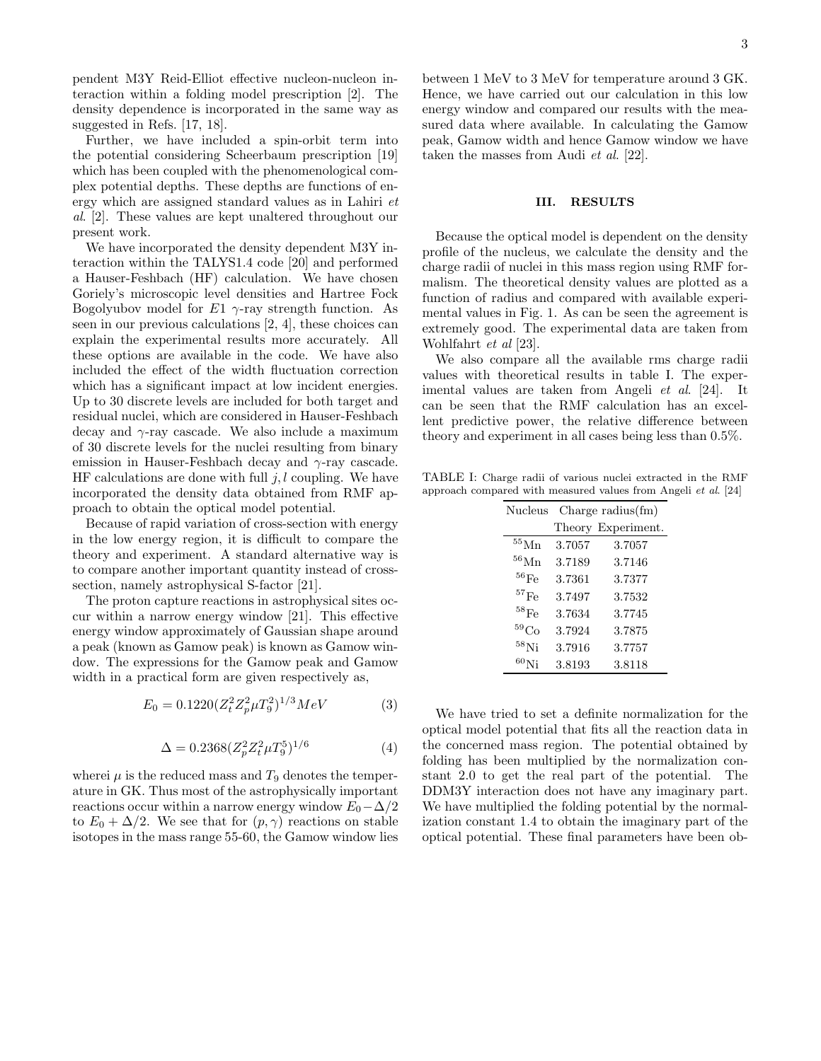pendent M3Y Reid-Elliot effective nucleon-nucleon interaction within a folding model prescription [2]. The density dependence is incorporated in the same way as suggested in Refs. [17, 18].

Further, we have included a spin-orbit term into the potential considering Scheerbaum prescription [19] which has been coupled with the phenomenological complex potential depths. These depths are functions of energy which are assigned standard values as in Lahiri et al. [2]. These values are kept unaltered throughout our present work.

We have incorporated the density dependent M3Y interaction within the TALYS1.4 code [20] and performed a Hauser-Feshbach (HF) calculation. We have chosen Goriely's microscopic level densities and Hartree Fock Bogolyubov model for  $E1$   $\gamma$ -ray strength function. As seen in our previous calculations [2, 4], these choices can explain the experimental results more accurately. All these options are available in the code. We have also included the effect of the width fluctuation correction which has a significant impact at low incident energies. Up to 30 discrete levels are included for both target and residual nuclei, which are considered in Hauser-Feshbach decay and  $\gamma$ -ray cascade. We also include a maximum of 30 discrete levels for the nuclei resulting from binary emission in Hauser-Feshbach decay and  $\gamma$ -ray cascade. HF calculations are done with full  $j, l$  coupling. We have incorporated the density data obtained from RMF approach to obtain the optical model potential.

Because of rapid variation of cross-section with energy in the low energy region, it is difficult to compare the theory and experiment. A standard alternative way is to compare another important quantity instead of crosssection, namely astrophysical S-factor [21].

The proton capture reactions in astrophysical sites occur within a narrow energy window [21]. This effective energy window approximately of Gaussian shape around a peak (known as Gamow peak) is known as Gamow window. The expressions for the Gamow peak and Gamow width in a practical form are given respectively as,

$$
E_0 = 0.1220(Z_t^2 Z_p^2 \mu T_9^2)^{1/3} MeV \tag{3}
$$

$$
\Delta = 0.2368(Z_p^2 Z_t^2 \mu T_9^5)^{1/6} \tag{4}
$$

wherei  $\mu$  is the reduced mass and  $T_9$  denotes the temperature in GK. Thus most of the astrophysically important reactions occur within a narrow energy window  $E_0-\Delta/2$ to  $E_0 + \Delta/2$ . We see that for  $(p, \gamma)$  reactions on stable isotopes in the mass range 55-60, the Gamow window lies between 1 MeV to 3 MeV for temperature around 3 GK. Hence, we have carried out our calculation in this low energy window and compared our results with the measured data where available. In calculating the Gamow peak, Gamow width and hence Gamow window we have taken the masses from Audi et al. [22].

## III. RESULTS

Because the optical model is dependent on the density profile of the nucleus, we calculate the density and the charge radii of nuclei in this mass region using RMF formalism. The theoretical density values are plotted as a function of radius and compared with available experimental values in Fig. 1. As can be seen the agreement is extremely good. The experimental data are taken from Wohlfahrt et al [23].

We also compare all the available rms charge radii values with theoretical results in table I. The experimental values are taken from Angeli et al. [24]. It can be seen that the RMF calculation has an excellent predictive power, the relative difference between theory and experiment in all cases being less than 0.5%.

TABLE I: Charge radii of various nuclei extracted in the RMF approach compared with measured values from Angeli et al. [24]

| Nucleus              | Charge radius $\text{fm}$ ) |                    |
|----------------------|-----------------------------|--------------------|
|                      |                             | Theory Experiment. |
| $\rm ^{55}Mn$        | 3.7057                      | 3.7057             |
| ${}^{56}\mathrm{Mn}$ | 3.7189                      | 3.7146             |
| $^{56}\mathrm{Fe}$   | 3.7361                      | 3.7377             |
| ${}^{57}\mathrm{Fe}$ | 3.7497                      | 3.7532             |
| $^{58}\mathrm{Fe}$   | 3.7634                      | 3.7745             |
| ${}^{59}Co$          | 3.7924                      | 3.7875             |
| $^{58}$ Ni           | 3.7916                      | 3.7757             |
| $^{60}$ Ni           | 3.8193                      | 3.8118             |

We have tried to set a definite normalization for the optical model potential that fits all the reaction data in the concerned mass region. The potential obtained by folding has been multiplied by the normalization constant 2.0 to get the real part of the potential. The DDM3Y interaction does not have any imaginary part. We have multiplied the folding potential by the normalization constant 1.4 to obtain the imaginary part of the optical potential. These final parameters have been ob-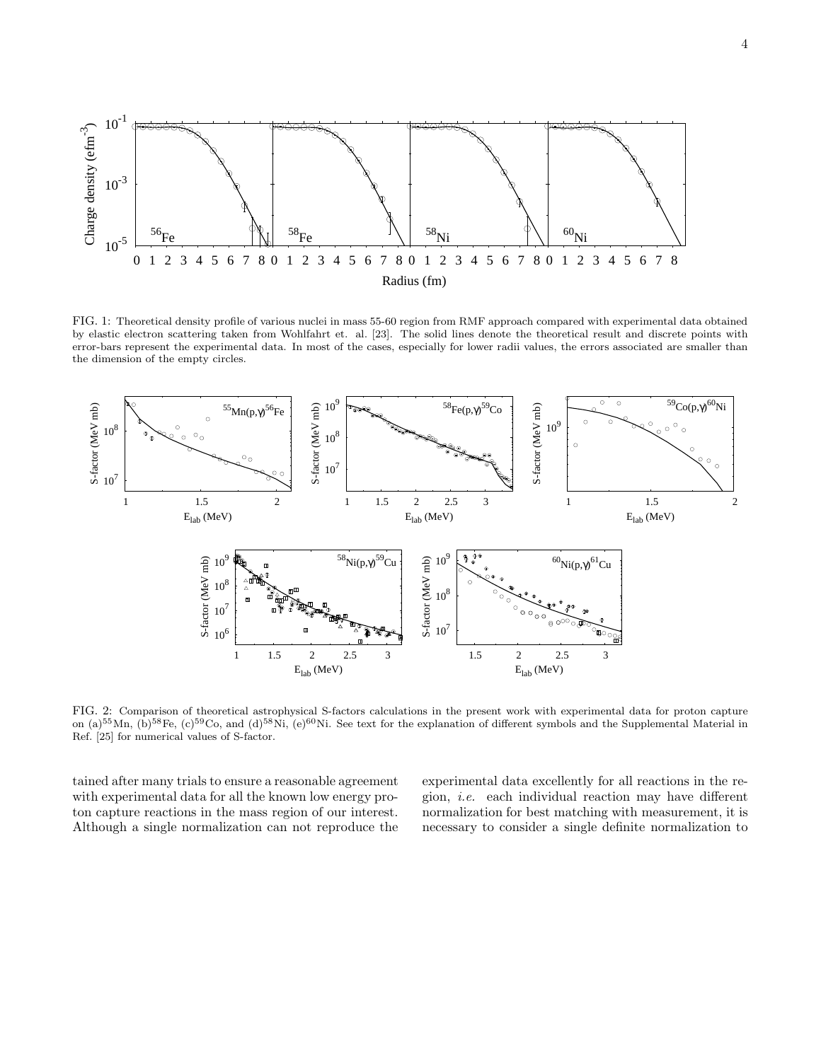

FIG. 1: Theoretical density profile of various nuclei in mass 55-60 region from RMF approach compared with experimental data obtained by elastic electron scattering taken from Wohlfahrt et. al. [23]. The solid lines denote the theoretical result and discrete points with error-bars represent the experimental data. In most of the cases, especially for lower radii values, the errors associated are smaller than the dimension of the empty circles.



FIG. 2: Comparison of theoretical astrophysical S-factors calculations in the present work with experimental data for proton capture on (a)<sup>55</sup>Mn,  $(b)$ <sup>58</sup>Fe,  $(c)$ <sup>59</sup>Co, and (d)<sup>58</sup>Ni,  $(e)$ <sup>60</sup>Ni. See text for the explanation of different symbols and the Supplemental Material in Ref. [25] for numerical values of S-factor.

tained after many trials to ensure a reasonable agreement with experimental data for all the known low energy proton capture reactions in the mass region of our interest. Although a single normalization can not reproduce the experimental data excellently for all reactions in the region, i.e. each individual reaction may have different normalization for best matching with measurement, it is necessary to consider a single definite normalization to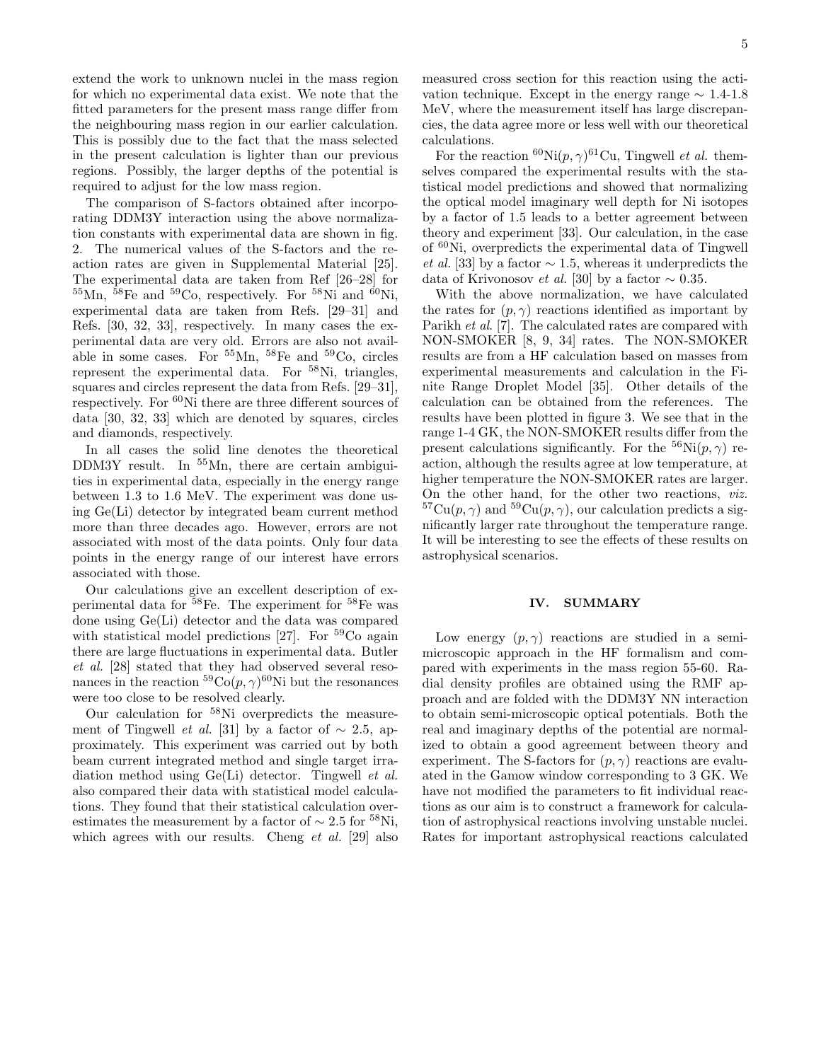extend the work to unknown nuclei in the mass region for which no experimental data exist. We note that the fitted parameters for the present mass range differ from the neighbouring mass region in our earlier calculation. This is possibly due to the fact that the mass selected in the present calculation is lighter than our previous regions. Possibly, the larger depths of the potential is required to adjust for the low mass region.

The comparison of S-factors obtained after incorporating DDM3Y interaction using the above normalization constants with experimental data are shown in fig. 2. The numerical values of the S-factors and the reaction rates are given in Supplemental Material [25]. The experimental data are taken from Ref [26–28] for  $^{55}$ Mn,  $^{58}$ Fe and  $^{59}$ Co, respectively. For  $^{58}$ Ni and  $^{60}$ Ni, experimental data are taken from Refs. [29–31] and Refs. [30, 32, 33], respectively. In many cases the experimental data are very old. Errors are also not available in some cases. For  $55Mn$ ,  $58Fe$  and  $59Co$ , circles represent the experimental data. For <sup>58</sup>Ni, triangles, squares and circles represent the data from Refs. [29–31], respectively. For <sup>60</sup>Ni there are three different sources of data [30, 32, 33] which are denoted by squares, circles and diamonds, respectively.

In all cases the solid line denotes the theoretical DDM3Y result. In <sup>55</sup>Mn, there are certain ambiguities in experimental data, especially in the energy range between 1.3 to 1.6 MeV. The experiment was done using Ge(Li) detector by integrated beam current method more than three decades ago. However, errors are not associated with most of the data points. Only four data points in the energy range of our interest have errors associated with those.

Our calculations give an excellent description of experimental data for <sup>58</sup>Fe. The experiment for <sup>58</sup>Fe was done using Ge(Li) detector and the data was compared with statistical model predictions [27]. For  ${}^{59}Co$  again there are large fluctuations in experimental data. Butler et al. [28] stated that they had observed several resonances in the reaction  ${}^{59}Co(p,\gamma){}^{60}Ni$  but the resonances were too close to be resolved clearly.

Our calculation for <sup>58</sup>Ni overpredicts the measurement of Tingwell *et al.* [31] by a factor of  $\sim$  2.5, approximately. This experiment was carried out by both beam current integrated method and single target irradiation method using Ge(Li) detector. Tingwell et al. also compared their data with statistical model calculations. They found that their statistical calculation overestimates the measurement by a factor of  $\sim 2.5$  for <sup>58</sup>Ni, which agrees with our results. Cheng *et al.* [29] also measured cross section for this reaction using the activation technique. Except in the energy range  $\sim 1.4$ -1.8 MeV, where the measurement itself has large discrepancies, the data agree more or less well with our theoretical calculations.

For the reaction  ${}^{60}\text{Ni}(p,\gamma){}^{61}\text{Cu}$ , Tingwell *et al.* themselves compared the experimental results with the statistical model predictions and showed that normalizing the optical model imaginary well depth for Ni isotopes by a factor of 1.5 leads to a better agreement between theory and experiment [33]. Our calculation, in the case of <sup>60</sup>Ni, overpredicts the experimental data of Tingwell et al. [33] by a factor  $\sim$  1.5, whereas it underpredicts the data of Krivonosov *et al.* [30] by a factor  $\sim 0.35$ .

With the above normalization, we have calculated the rates for  $(p, \gamma)$  reactions identified as important by Parikh et al. [7]. The calculated rates are compared with NON-SMOKER [8, 9, 34] rates. The NON-SMOKER results are from a HF calculation based on masses from experimental measurements and calculation in the Finite Range Droplet Model [35]. Other details of the calculation can be obtained from the references. The results have been plotted in figure 3. We see that in the range 1-4 GK, the NON-SMOKER results differ from the present calculations significantly. For the  ${}^{56}\text{Ni}(p, \gamma)$  reaction, although the results agree at low temperature, at higher temperature the NON-SMOKER rates are larger. On the other hand, for the other two reactions, viz.  ${}^{57}Cu(p,\gamma)$  and  ${}^{59}Cu(p,\gamma)$ , our calculation predicts a significantly larger rate throughout the temperature range. It will be interesting to see the effects of these results on astrophysical scenarios.

### IV. SUMMARY

Low energy  $(p, \gamma)$  reactions are studied in a semimicroscopic approach in the HF formalism and compared with experiments in the mass region 55-60. Radial density profiles are obtained using the RMF approach and are folded with the DDM3Y NN interaction to obtain semi-microscopic optical potentials. Both the real and imaginary depths of the potential are normalized to obtain a good agreement between theory and experiment. The S-factors for  $(p, \gamma)$  reactions are evaluated in the Gamow window corresponding to 3 GK. We have not modified the parameters to fit individual reactions as our aim is to construct a framework for calculation of astrophysical reactions involving unstable nuclei. Rates for important astrophysical reactions calculated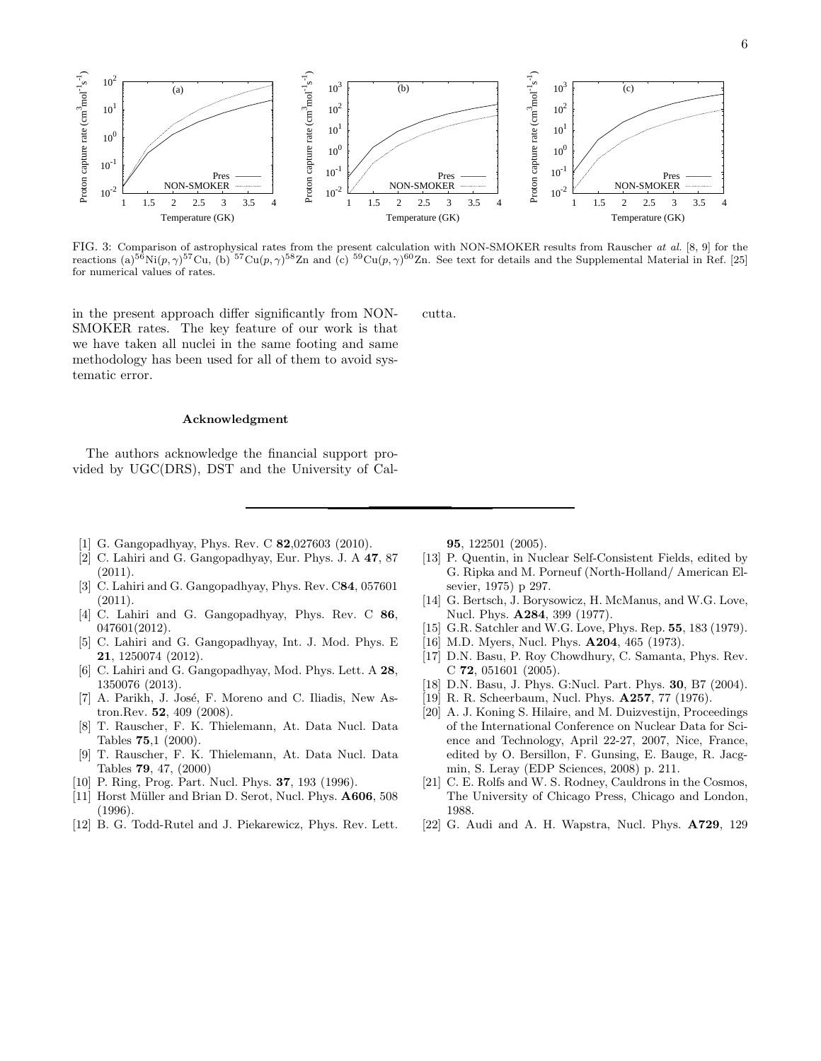

FIG. 3: Comparison of astrophysical rates from the present calculation with NON-SMOKER results from Rauscher at al. [8, 9] for the reactions (a)<sup>56</sup>Ni(p,  $\gamma$ )<sup>57</sup>Cu, (b)<sup>57</sup>Cu(p,  $\gamma$ )<sup>58</sup>Zn and (c) <sup>59</sup>Cu(p,  $\gamma$ )<sup>60</sup>Zn. See text for details and the Supplemental Material in Ref. [25] for numerical values of rates.

cutta.

in the present approach differ significantly from NON-SMOKER rates. The key feature of our work is that we have taken all nuclei in the same footing and same methodology has been used for all of them to avoid systematic error.

### Acknowledgment

The authors acknowledge the financial support provided by UGC(DRS), DST and the University of Cal-

- [1] G. Gangopadhyay, Phys. Rev. C **82**,027603 (2010).
- [2] C. Lahiri and G. Gangopadhyay, Eur. Phys. J. A 47, 87 (2011).
- [3] C. Lahiri and G. Gangopadhyay, Phys. Rev. C84, 057601  $(2011).$
- [4] C. Lahiri and G. Gangopadhyay, Phys. Rev. C 86, 047601(2012).
- [5] C. Lahiri and G. Gangopadhyay, Int. J. Mod. Phys. E 21, 1250074 (2012).
- [6] C. Lahiri and G. Gangopadhyay, Mod. Phys. Lett. A 28, 1350076 (2013).
- [7] A. Parikh, J. José, F. Moreno and C. Iliadis, New Astron.Rev. 52, 409 (2008).
- [8] T. Rauscher, F. K. Thielemann, At. Data Nucl. Data Tables 75,1 (2000).
- [9] T. Rauscher, F. K. Thielemann, At. Data Nucl. Data Tables 79, 47, (2000)
- [10] P. Ring, Prog. Part. Nucl. Phys. **37**, 193 (1996).
- [11] Horst Müller and Brian D. Serot, Nucl. Phys. A606, 508 (1996).
- [12] B. G. Todd-Rutel and J. Piekarewicz, Phys. Rev. Lett.

95, 122501 (2005).

- [13] P. Quentin, in Nuclear Self-Consistent Fields, edited by G. Ripka and M. Porneuf (North-Holland/ American Elsevier, 1975) p 297.
- [14] G. Bertsch, J. Borysowicz, H. McManus, and W.G. Love, Nucl. Phys. A284, 399 (1977).
- [15] G.R. Satchler and W.G. Love, Phys. Rep. 55, 183 (1979).
- [16] M.D. Myers, Nucl. Phys. **A204**, 465 (1973).
- [17] D.N. Basu, P. Roy Chowdhury, C. Samanta, Phys. Rev. C 72, 051601 (2005).
- [18] D.N. Basu, J. Phys. G:Nucl. Part. Phys. 30, B7 (2004).
- [19] R. R. Scheerbaum, Nucl. Phys. A257, 77 (1976).
- [20] A. J. Koning S. Hilaire, and M. Duizvestijn, Proceedings of the International Conference on Nuclear Data for Science and Technology, April 22-27, 2007, Nice, France, edited by O. Bersillon, F. Gunsing, E. Bauge, R. Jacgmin, S. Leray (EDP Sciences, 2008) p. 211.
- [21] C. E. Rolfs and W. S. Rodney, Cauldrons in the Cosmos, The University of Chicago Press, Chicago and London, 1988.
- [22] G. Audi and A. H. Wapstra, Nucl. Phys. A729, 129